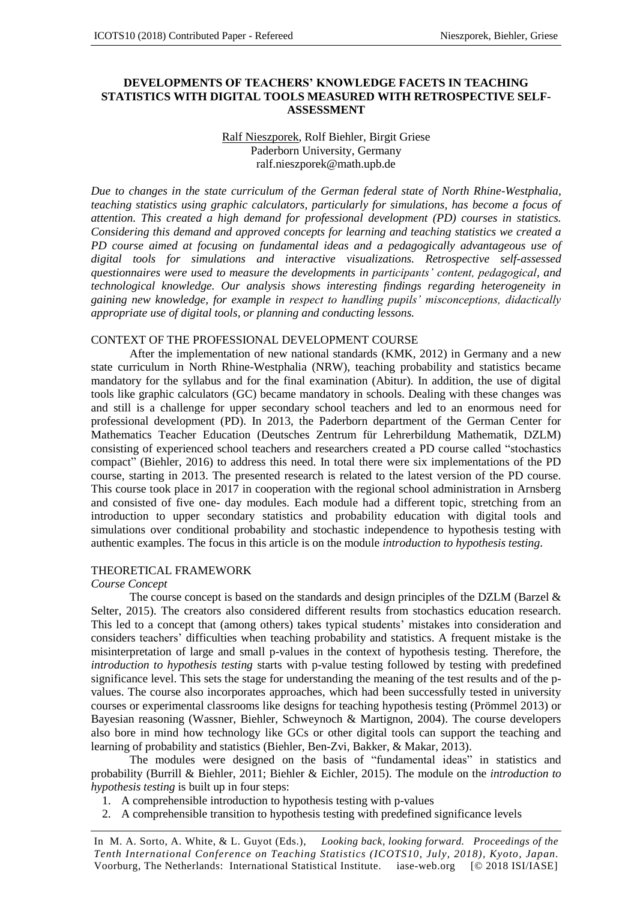## **DEVELOPMENTS OF TEACHERS' KNOWLEDGE FACETS IN TEACHING STATISTICS WITH DIGITAL TOOLS MEASURED WITH RETROSPECTIVE SELF-ASSESSMENT**

#### Ralf Nieszporek, Rolf Biehler, Birgit Griese Paderborn University, Germany ralf.nieszporek@math.upb.de

*Due to changes in the state curriculum of the German federal state of North Rhine-Westphalia, teaching statistics using graphic calculators, particularly for simulations, has become a focus of attention. This created a high demand for professional development (PD) courses in statistics. Considering this demand and approved concepts for learning and teaching statistics we created a PD course aimed at focusing on fundamental ideas and a pedagogically advantageous use of digital tools for simulations and interactive visualizations. Retrospective self-assessed questionnaires were used to measure the developments in participants' content, pedagogical, and technological knowledge. Our analysis shows interesting findings regarding heterogeneity in gaining new knowledge, for example in respect to handling pupils' misconceptions, didactically appropriate use of digital tools, or planning and conducting lessons.*

#### CONTEXT OF THE PROFESSIONAL DEVELOPMENT COURSE

After the implementation of new national standards (KMK, 2012) in Germany and a new state curriculum in North Rhine-Westphalia (NRW), teaching probability and statistics became mandatory for the syllabus and for the final examination (Abitur). In addition, the use of digital tools like graphic calculators (GC) became mandatory in schools. Dealing with these changes was and still is a challenge for upper secondary school teachers and led to an enormous need for professional development (PD). In 2013, the Paderborn department of the German Center for Mathematics Teacher Education (Deutsches Zentrum für Lehrerbildung Mathematik, DZLM) consisting of experienced school teachers and researchers created a PD course called "stochastics compact" (Biehler, 2016) to address this need. In total there were six implementations of the PD course, starting in 2013. The presented research is related to the latest version of the PD course. This course took place in 2017 in cooperation with the regional school administration in Arnsberg and consisted of five one- day modules. Each module had a different topic, stretching from an introduction to upper secondary statistics and probability education with digital tools and simulations over conditional probability and stochastic independence to hypothesis testing with authentic examples. The focus in this article is on the module *introduction to hypothesis testing*.

#### THEORETICAL FRAMEWORK

#### *Course Concept*

The course concept is based on the standards and design principles of the DZLM (Barzel & Selter, 2015). The creators also considered different results from stochastics education research. This led to a concept that (among others) takes typical students' mistakes into consideration and considers teachers' difficulties when teaching probability and statistics. A frequent mistake is the misinterpretation of large and small p-values in the context of hypothesis testing. Therefore, the *introduction to hypothesis testing* starts with p-value testing followed by testing with predefined significance level. This sets the stage for understanding the meaning of the test results and of the pvalues. The course also incorporates approaches, which had been successfully tested in university courses or experimental classrooms like designs for teaching hypothesis testing (Prömmel 2013) or Bayesian reasoning (Wassner, Biehler, Schweynoch & Martignon, 2004). The course developers also bore in mind how technology like GCs or other digital tools can support the teaching and learning of probability and statistics (Biehler, Ben-Zvi, Bakker, & Makar, 2013).

The modules were designed on the basis of "fundamental ideas" in statistics and probability (Burrill & Biehler, 2011; Biehler & Eichler, 2015). The module on the *introduction to hypothesis testing* is built up in four steps:

- 1. A comprehensible introduction to hypothesis testing with p-values
- 2. A comprehensible transition to hypothesis testing with predefined significance levels

In M. A. Sorto, A. White, & L. Guyot (Eds.), *Looking back, looking forward. Proceedings of the Tenth International Conference on Teaching Statistics (ICOTS10, July, 2018), Kyoto, Japan.* Voorburg, The Netherlands: International Statistical Institute. iase-web.org [© 2018 ISI/IASE]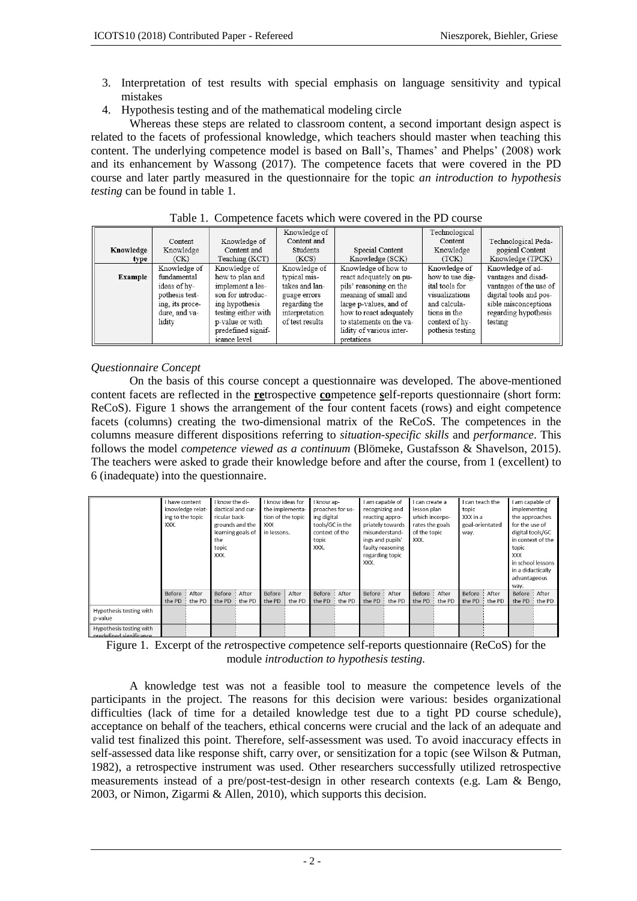- 3. Interpretation of test results with special emphasis on language sensitivity and typical mistakes
- 4. Hypothesis testing and of the mathematical modeling circle

Whereas these steps are related to classroom content, a second important design aspect is related to the facets of professional knowledge, which teachers should master when teaching this content. The underlying competence model is based on Ball's, Thames' and Phelps' (2008) work and its enhancement by Wassong (2017). The competence facets that were covered in the PD course and later partly measured in the questionnaire for the topic *an introduction to hypothesis testing* can be found in table 1.

|                |                 |                     | Knowledge of             |                          | Technological    |                        |  |  |
|----------------|-----------------|---------------------|--------------------------|--------------------------|------------------|------------------------|--|--|
|                | Content         | Knowledge of        | Content and              |                          | Content          | Technological Peda-    |  |  |
| Knowledge      | Knowledge       | Content and         | Students                 | Special Content          | Knowledge        | gogical Content        |  |  |
| type           | (CK)            | Teaching (KCT)      | Knowledge (SCK)<br>(KCS) |                          | (TCK)            | Knowledge (TPCK)       |  |  |
|                | Knowledge of    | Knowledge of        | Knowledge of             | Knowledge of how to      | Knowledge of     | Knowledge of ad-       |  |  |
| <b>Example</b> | fundamental     | how to plan and     | typical mis-             | react adequately on pu-  | how to use dig-  | vantages and disad-    |  |  |
|                | ideas of hy-    | implement a les-    | takes and lan-           | pils' reasoning on the   | ital tools for   | vantages of the use of |  |  |
|                | pothesis test-  | son for introduc-   | guage errors             | meaning of small and     | visualizations   | digital tools and pos- |  |  |
|                | ing, its proce- | ing hypothesis      | regarding the            | large p-values, and of   | and calcula-     | sible misconceptions   |  |  |
|                | dure, and va-   | testing either with | interpretation           | how to react adequately  |                  | regarding hypothesis   |  |  |
|                | lidity          | p-value or with     | of test results          | to statements on the va- | context of hy-   | testing                |  |  |
|                |                 | predefined signif-  |                          | lidity of various inter- | pothesis testing |                        |  |  |
|                |                 | icance level        |                          | pretations               |                  |                        |  |  |

Table 1. Competence facets which were covered in the PD course

# *Questionnaire Concept*

On the basis of this course concept a questionnaire was developed. The above-mentioned content facets are reflected in the **re**trospective **co**mpetence **s**elf-reports questionnaire (short form: ReCoS). Figure 1 shows the arrangement of the four content facets (rows) and eight competence facets (columns) creating the two-dimensional matrix of the ReCoS. The competences in the columns measure different dispositions referring to *situation-specific skills* and *performance*. This follows the model *competence viewed as a continuum* (Blömeke, Gustafsson & Shavelson, 2015). The teachers were asked to grade their knowledge before and after the course, from 1 (excellent) to 6 (inadequate) into the questionnaire.

|                                                    | I have content<br>knowledge relat-<br>ing to the topic<br>XXX. |  | I know ideas for<br>know the di-<br>dactical and cur-<br>the implementa-<br>tion of the topic<br>ricular back-<br>grounds and the<br><b>XXX</b><br>learning goals of<br>in lessons.<br>the<br>topic |  |                                     |        | I know ap-                                                |      | I am capable of                                                           |                   | I can create a                                    |              | I can teach the                     |  | I am capable of                                      |                   |  |
|----------------------------------------------------|----------------------------------------------------------------|--|-----------------------------------------------------------------------------------------------------------------------------------------------------------------------------------------------------|--|-------------------------------------|--------|-----------------------------------------------------------|------|---------------------------------------------------------------------------|-------------------|---------------------------------------------------|--------------|-------------------------------------|--|------------------------------------------------------|-------------------|--|
|                                                    |                                                                |  |                                                                                                                                                                                                     |  | proaches for us-<br>recognizing and |        | lesson plan                                               |      | topic                                                                     |                   | implementing                                      |              |                                     |  |                                                      |                   |  |
|                                                    |                                                                |  |                                                                                                                                                                                                     |  |                                     |        | ing digital<br>tools/GC in the<br>context of the<br>topic |      | reacting appro-<br>priately towards<br>misunderstand-<br>ings and pupils' |                   | which incorpo-<br>rates the goals<br>of the topic |              | XXX in a<br>goal-orientated<br>way. |  | the approaches<br>for the use of<br>digital tools/GC |                   |  |
|                                                    |                                                                |  |                                                                                                                                                                                                     |  |                                     |        |                                                           |      |                                                                           |                   |                                                   |              |                                     |  |                                                      |                   |  |
|                                                    |                                                                |  |                                                                                                                                                                                                     |  |                                     |        |                                                           |      |                                                                           |                   |                                                   |              |                                     |  |                                                      |                   |  |
|                                                    |                                                                |  |                                                                                                                                                                                                     |  |                                     | XXX.   |                                                           |      |                                                                           |                   |                                                   |              |                                     |  | in context of the<br>topic                           |                   |  |
|                                                    |                                                                |  |                                                                                                                                                                                                     |  |                                     |        |                                                           | XXX. |                                                                           | faulty reasoning  |                                                   |              |                                     |  |                                                      |                   |  |
|                                                    |                                                                |  | XXX.                                                                                                                                                                                                |  |                                     |        | regarding topic                                           |      |                                                                           |                   |                                                   |              | <b>XXX</b>                          |  |                                                      |                   |  |
|                                                    |                                                                |  |                                                                                                                                                                                                     |  | XXX.                                |        |                                                           |      |                                                                           | in school lessons |                                                   |              |                                     |  |                                                      |                   |  |
|                                                    |                                                                |  |                                                                                                                                                                                                     |  |                                     |        |                                                           |      |                                                                           |                   |                                                   |              |                                     |  |                                                      | in a didactically |  |
|                                                    |                                                                |  |                                                                                                                                                                                                     |  |                                     |        |                                                           |      |                                                                           |                   |                                                   | advantageous |                                     |  |                                                      |                   |  |
|                                                    |                                                                |  |                                                                                                                                                                                                     |  |                                     |        |                                                           |      |                                                                           |                   |                                                   |              |                                     |  | way.                                                 |                   |  |
|                                                    | Before : After                                                 |  | Before : After                                                                                                                                                                                      |  | Before                              | After  | Before : After                                            |      | Before : After                                                            |                   | Before : After                                    |              | Before : After                      |  | Before : After                                       |                   |  |
|                                                    | the PD the PD                                                  |  | the PD $\frac{1}{2}$ the PD                                                                                                                                                                         |  | the PD                              | the PD | the PD $\frac{1}{2}$ the PD                               |      |                                                                           | the PD ; the PD   | the PD: the PD                                    |              | the PD : the PD                     |  |                                                      | the PD the PD     |  |
| Hypothesis testing with                            |                                                                |  |                                                                                                                                                                                                     |  |                                     |        |                                                           |      |                                                                           |                   |                                                   |              |                                     |  |                                                      |                   |  |
| p-value                                            |                                                                |  |                                                                                                                                                                                                     |  |                                     |        |                                                           |      |                                                                           |                   |                                                   |              |                                     |  |                                                      |                   |  |
| Hypothesis testing with<br>prodofined cignificance |                                                                |  |                                                                                                                                                                                                     |  |                                     |        |                                                           |      |                                                                           |                   |                                                   |              |                                     |  |                                                      |                   |  |

Figure 1. Excerpt of the *re*trospective *co*mpetence *s*elf-reports questionnaire (ReCoS) for the module *introduction to hypothesis testing.*

A knowledge test was not a feasible tool to measure the competence levels of the participants in the project. The reasons for this decision were various: besides organizational difficulties (lack of time for a detailed knowledge test due to a tight PD course schedule), acceptance on behalf of the teachers, ethical concerns were crucial and the lack of an adequate and valid test finalized this point. Therefore, self-assessment was used. To avoid inaccuracy effects in self-assessed data like response shift, carry over, or sensitization for a topic (see Wilson & Putman, 1982), a retrospective instrument was used. Other researchers successfully utilized retrospective measurements instead of a pre/post-test-design in other research contexts (e.g. Lam & Bengo, 2003, or Nimon, Zigarmi & Allen, 2010), which supports this decision.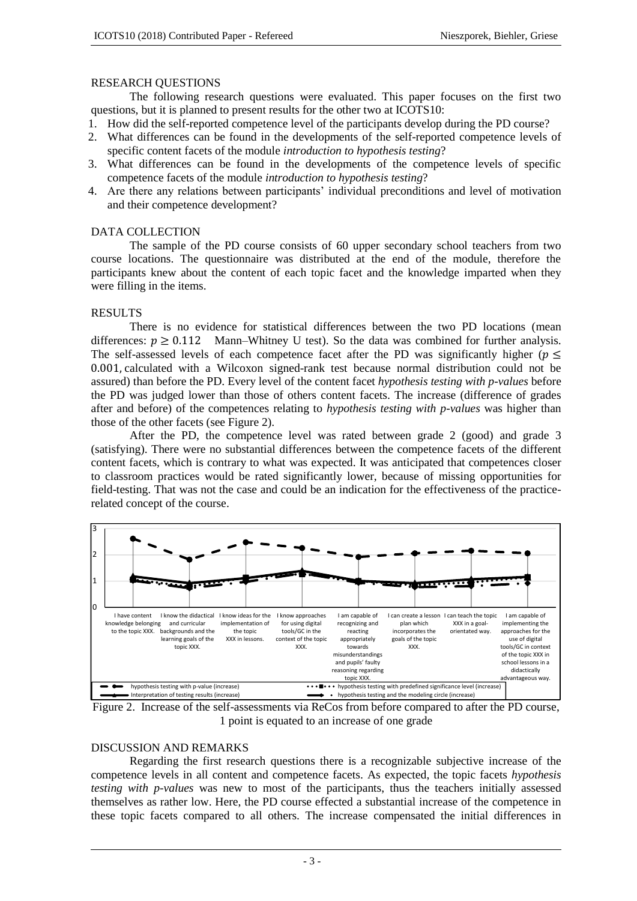## RESEARCH QUESTIONS

The following research questions were evaluated. This paper focuses on the first two questions, but it is planned to present results for the other two at ICOTS10:

- 1. How did the self-reported competence level of the participants develop during the PD course?
- 2. What differences can be found in the developments of the self-reported competence levels of specific content facets of the module *introduction to hypothesis testing*?
- 3. What differences can be found in the developments of the competence levels of specific competence facets of the module *introduction to hypothesis testing*?
- 4. Are there any relations between participants' individual preconditions and level of motivation and their competence development?

## DATA COLLECTION

The sample of the PD course consists of 60 upper secondary school teachers from two course locations. The questionnaire was distributed at the end of the module, therefore the participants knew about the content of each topic facet and the knowledge imparted when they were filling in the items.

# RESULTS

There is no evidence for statistical differences between the two PD locations (mean differences:  $p \ge 0.112$  Mann–Whitney U test). So the data was combined for further analysis. The self-assessed levels of each competence facet after the PD was significantly higher ( $p \leq$ 0.001, calculated with a Wilcoxon signed-rank test because normal distribution could not be assured) than before the PD. Every level of the content facet *hypothesis testing with p-values* before the PD was judged lower than those of others content facets. The increase (difference of grades after and before) of the competences relating to *hypothesis testing with p-values* was higher than those of the other facets (see Figure 2).

After the PD, the competence level was rated between grade 2 (good) and grade 3 (satisfying). There were no substantial differences between the competence facets of the different content facets, which is contrary to what was expected. It was anticipated that competences closer to classroom practices would be rated significantly lower, because of missing opportunities for field-testing. That was not the case and could be an indication for the effectiveness of the practicerelated concept of the course.



Figure 2. Increase of the self-assessments via ReCos from before compared to after the PD course, 1 point is equated to an increase of one grade

#### DISCUSSION AND REMARKS

Regarding the first research questions there is a recognizable subjective increase of the competence levels in all content and competence facets. As expected, the topic facets *hypothesis testing with p-values* was new to most of the participants, thus the teachers initially assessed themselves as rather low. Here, the PD course effected a substantial increase of the competence in these topic facets compared to all others. The increase compensated the initial differences in